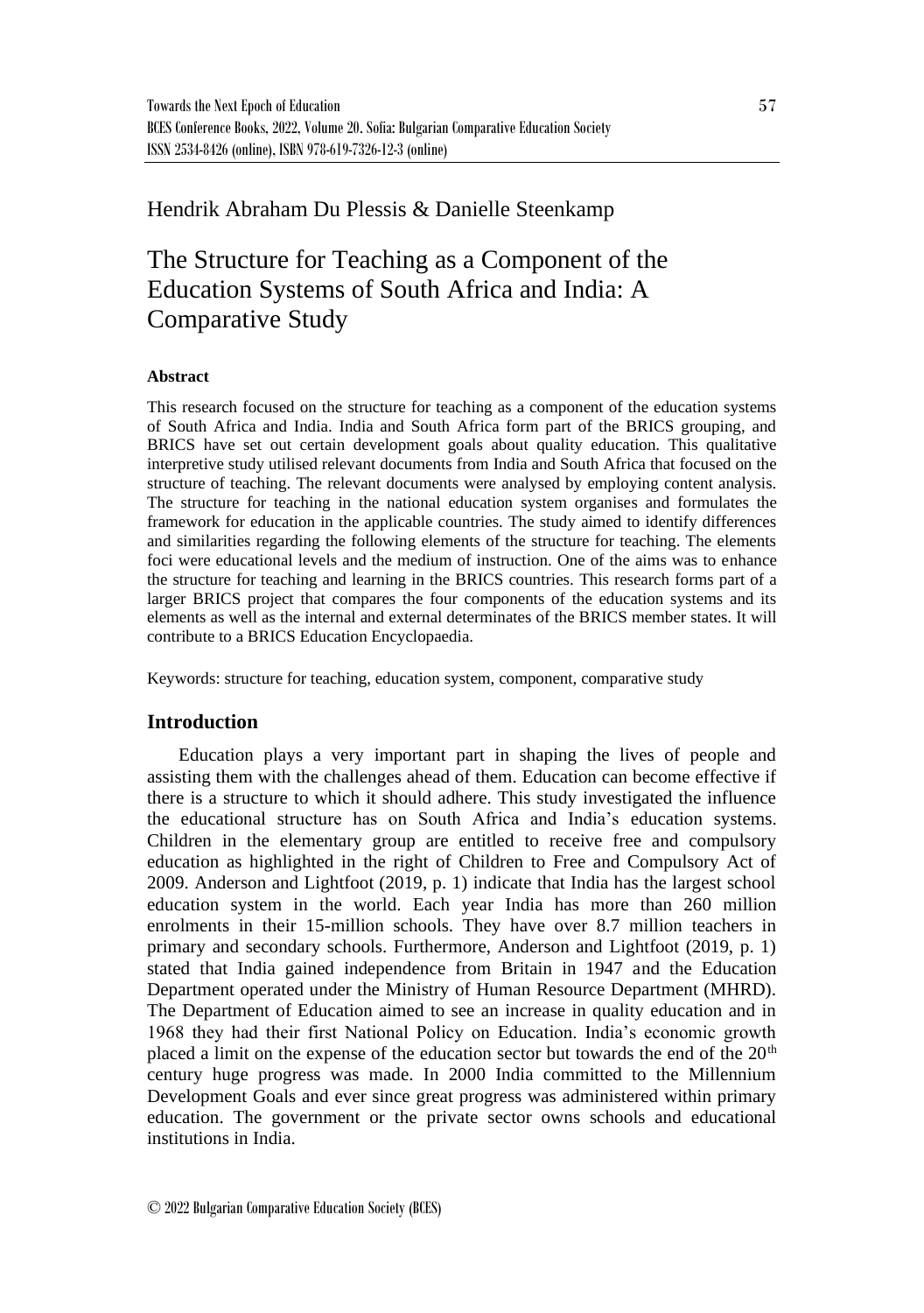# Hendrik Abraham Du Plessis & Danielle Steenkamp

# The Structure for Teaching as a Component of the Education Systems of South Africa and India: A Comparative Study

## **Abstract**

This research focused on the structure for teaching as a component of the education systems of South Africa and India. India and South Africa form part of the BRICS grouping, and BRICS have set out certain development goals about quality education. This qualitative interpretive study utilised relevant documents from India and South Africa that focused on the structure of teaching. The relevant documents were analysed by employing content analysis. The structure for teaching in the national education system organises and formulates the framework for education in the applicable countries. The study aimed to identify differences and similarities regarding the following elements of the structure for teaching. The elements foci were educational levels and the medium of instruction. One of the aims was to enhance the structure for teaching and learning in the BRICS countries. This research forms part of a larger BRICS project that compares the four components of the education systems and its elements as well as the internal and external determinates of the BRICS member states. It will contribute to a BRICS Education Encyclopaedia.

Keywords: structure for teaching, education system, component, comparative study

## **Introduction**

Education plays a very important part in shaping the lives of people and assisting them with the challenges ahead of them. Education can become effective if there is a structure to which it should adhere. This study investigated the influence the educational structure has on South Africa and India's education systems. Children in the elementary group are entitled to receive free and compulsory education as highlighted in the right of Children to Free and Compulsory Act of 2009. Anderson and Lightfoot (2019, p. 1) indicate that India has the largest school education system in the world. Each year India has more than 260 million enrolments in their 15-million schools. They have over 8.7 million teachers in primary and secondary schools. Furthermore, Anderson and Lightfoot (2019, p. 1) stated that India gained independence from Britain in 1947 and the Education Department operated under the Ministry of Human Resource Department (MHRD). The Department of Education aimed to see an increase in quality education and in 1968 they had their first National Policy on Education. India's economic growth placed a limit on the expense of the education sector but towards the end of the 20<sup>th</sup> century huge progress was made. In 2000 India committed to the Millennium Development Goals and ever since great progress was administered within primary education. The government or the private sector owns schools and educational institutions in India.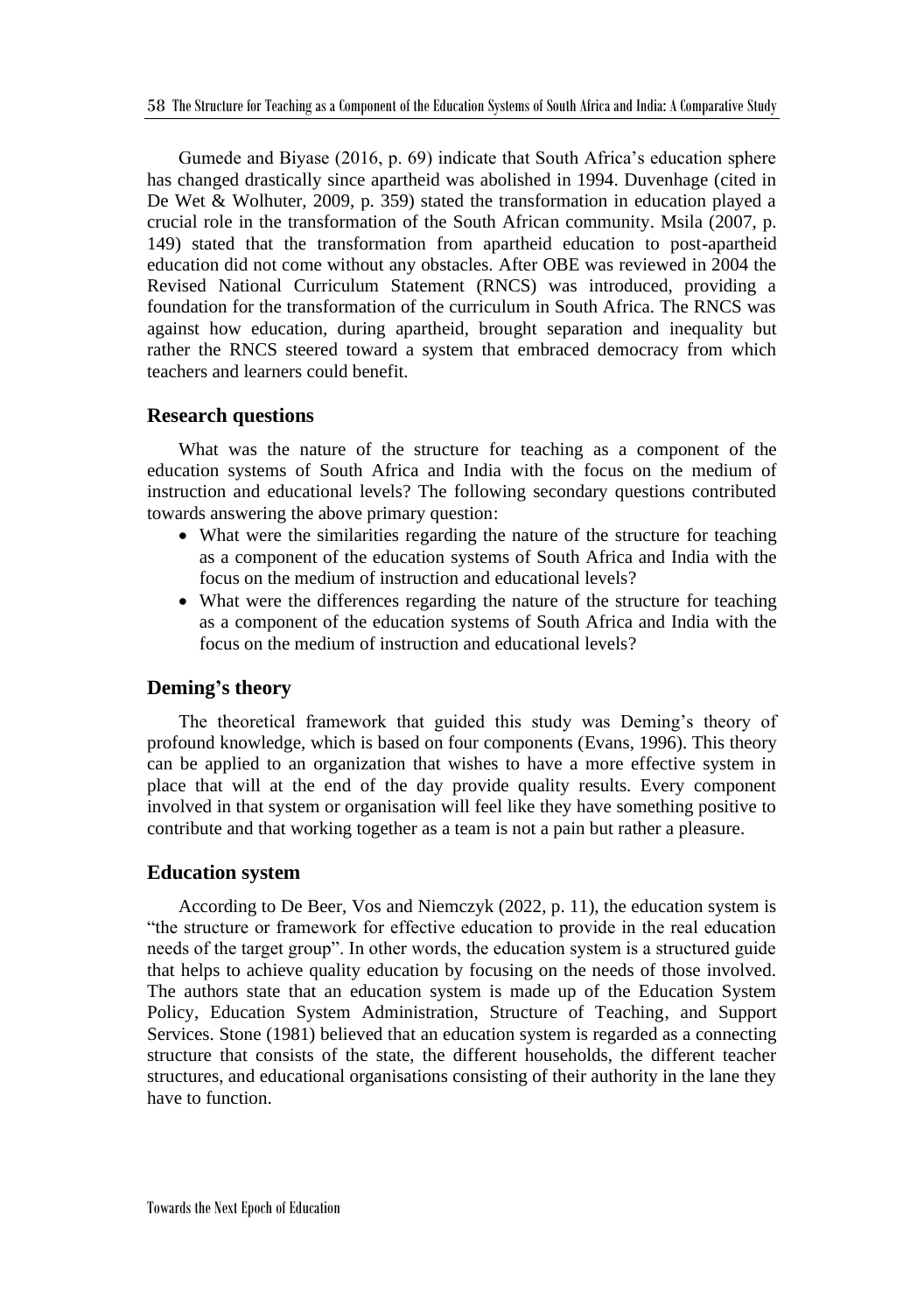Gumede and Biyase (2016, p. 69) indicate that South Africa's education sphere has changed drastically since apartheid was abolished in 1994. Duvenhage (cited in De Wet & Wolhuter, 2009, p. 359) stated the transformation in education played a crucial role in the transformation of the South African community. Msila (2007, p. 149) stated that the transformation from apartheid education to post-apartheid education did not come without any obstacles. After OBE was reviewed in 2004 the Revised National Curriculum Statement (RNCS) was introduced, providing a foundation for the transformation of the curriculum in South Africa. The RNCS was against how education, during apartheid, brought separation and inequality but rather the RNCS steered toward a system that embraced democracy from which teachers and learners could benefit.

## **Research questions**

What was the nature of the structure for teaching as a component of the education systems of South Africa and India with the focus on the medium of instruction and educational levels? The following secondary questions contributed towards answering the above primary question:

- What were the similarities regarding the nature of the structure for teaching as a component of the education systems of South Africa and India with the focus on the medium of instruction and educational levels?
- What were the differences regarding the nature of the structure for teaching as a component of the education systems of South Africa and India with the focus on the medium of instruction and educational levels?

## **Deming's theory**

The theoretical framework that guided this study was Deming's theory of profound knowledge, which is based on four components (Evans, 1996). This theory can be applied to an organization that wishes to have a more effective system in place that will at the end of the day provide quality results. Every component involved in that system or organisation will feel like they have something positive to contribute and that working together as a team is not a pain but rather a pleasure.

## **Education system**

According to De Beer, Vos and Niemczyk (2022, p. 11), the education system is "the structure or framework for effective education to provide in the real education needs of the target group". In other words, the education system is a structured guide that helps to achieve quality education by focusing on the needs of those involved. The authors state that an education system is made up of the Education System Policy, Education System Administration, Structure of Teaching, and Support Services. Stone (1981) believed that an education system is regarded as a connecting structure that consists of the state, the different households, the different teacher structures, and educational organisations consisting of their authority in the lane they have to function.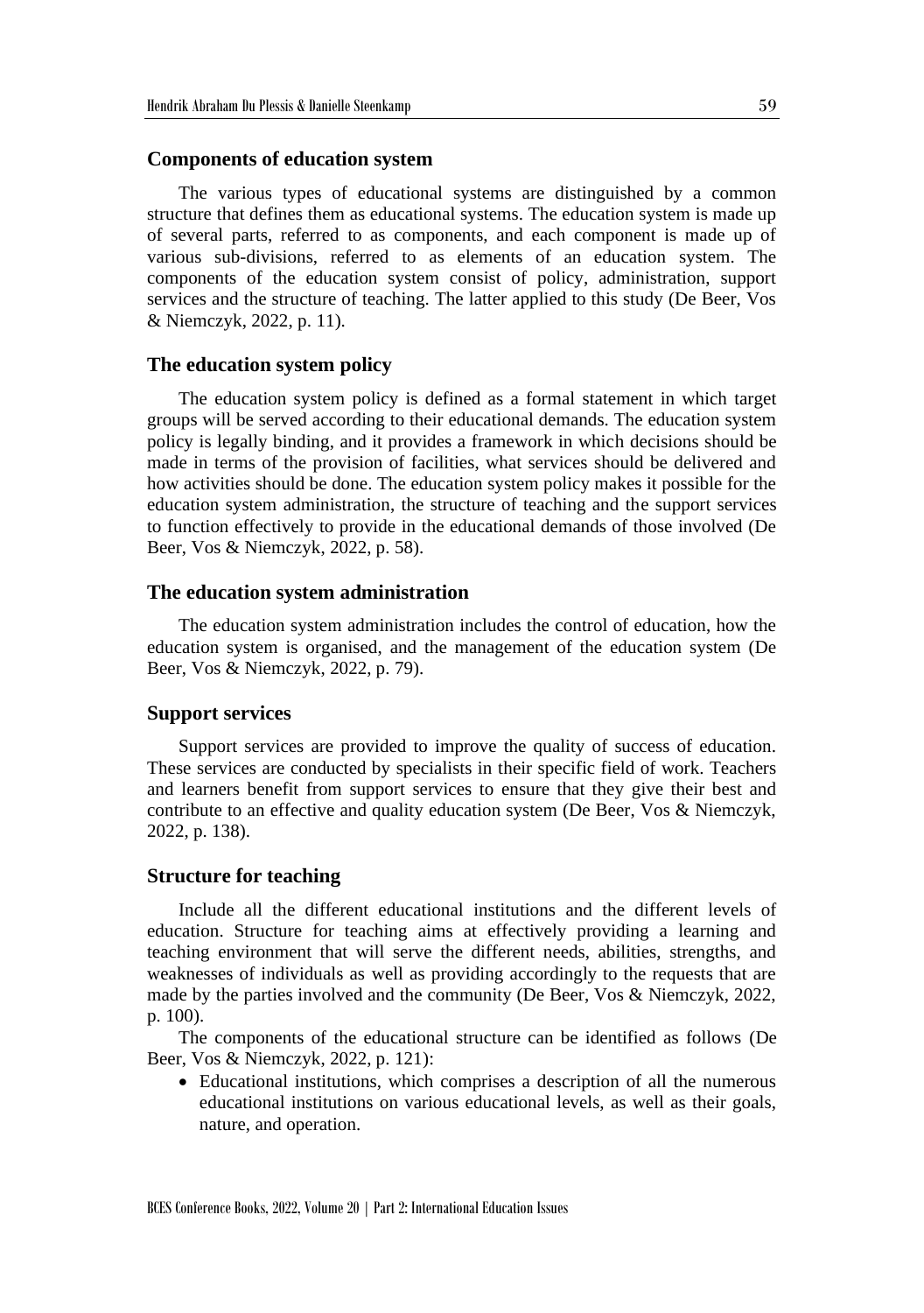#### **Components of education system**

The various types of educational systems are distinguished by a common structure that defines them as educational systems. The education system is made up of several parts, referred to as components, and each component is made up of various sub-divisions, referred to as elements of an education system. The components of the education system consist of policy, administration, support services and the structure of teaching. The latter applied to this study (De Beer, Vos & Niemczyk, 2022, p. 11).

#### **The education system policy**

The education system policy is defined as a formal statement in which target groups will be served according to their educational demands. The education system policy is legally binding, and it provides a framework in which decisions should be made in terms of the provision of facilities, what services should be delivered and how activities should be done. The education system policy makes it possible for the education system administration, the structure of teaching and the support services to function effectively to provide in the educational demands of those involved (De Beer, Vos & Niemczyk, 2022, p. 58).

#### **The education system administration**

The education system administration includes the control of education, how the education system is organised, and the management of the education system (De Beer, Vos & Niemczyk, 2022, p. 79).

### **Support services**

Support services are provided to improve the quality of success of education. These services are conducted by specialists in their specific field of work. Teachers and learners benefit from support services to ensure that they give their best and contribute to an effective and quality education system (De Beer, Vos & Niemczyk, 2022, p. 138).

#### **Structure for teaching**

Include all the different educational institutions and the different levels of education. Structure for teaching aims at effectively providing a learning and teaching environment that will serve the different needs, abilities, strengths, and weaknesses of individuals as well as providing accordingly to the requests that are made by the parties involved and the community (De Beer, Vos & Niemczyk, 2022, p. 100).

The components of the educational structure can be identified as follows (De Beer, Vos & Niemczyk, 2022, p. 121):

• Educational institutions, which comprises a description of all the numerous educational institutions on various educational levels, as well as their goals, nature, and operation.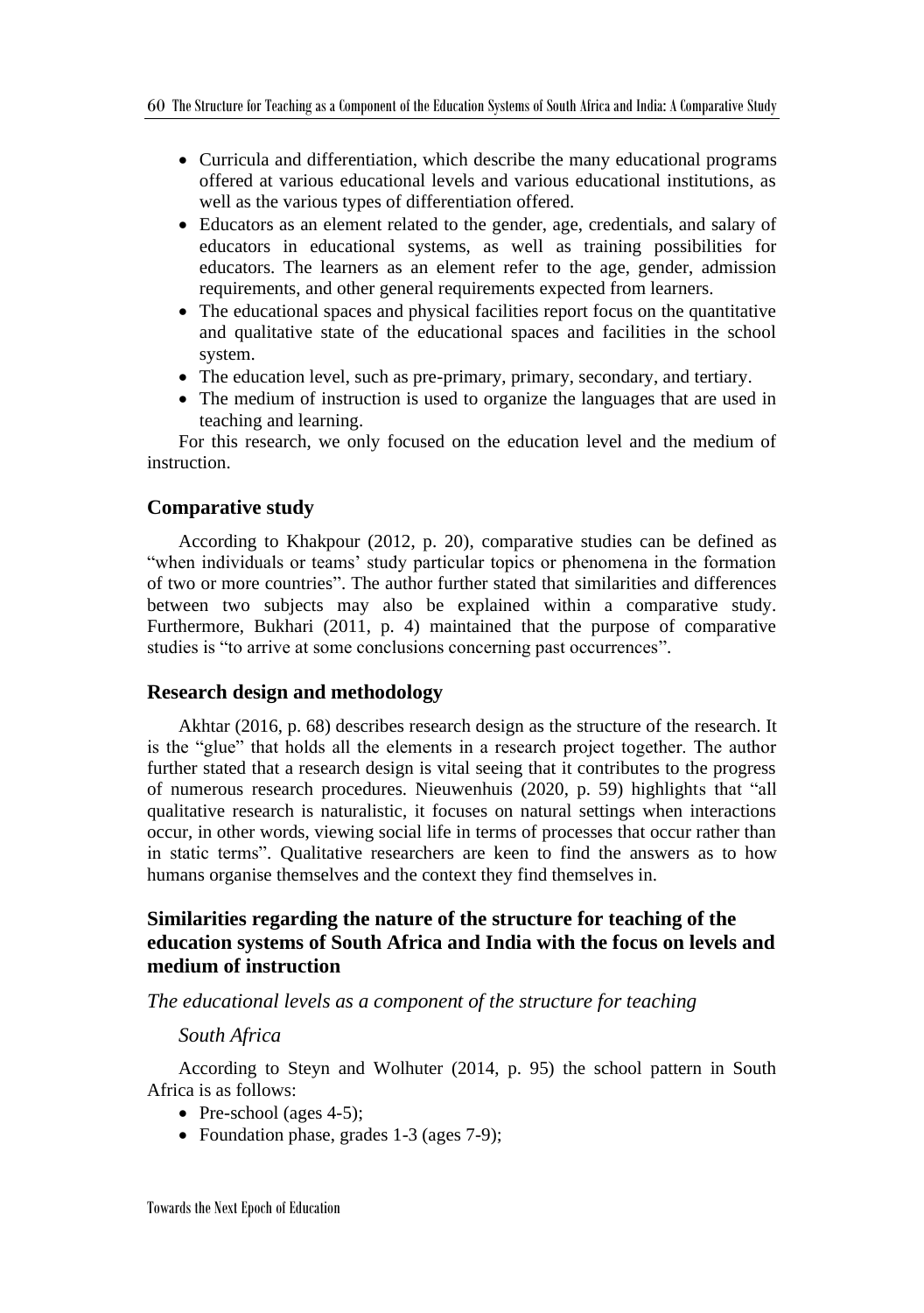- Curricula and differentiation, which describe the many educational programs offered at various educational levels and various educational institutions, as well as the various types of differentiation offered.
- Educators as an element related to the gender, age, credentials, and salary of educators in educational systems, as well as training possibilities for educators. The learners as an element refer to the age, gender, admission requirements, and other general requirements expected from learners.
- The educational spaces and physical facilities report focus on the quantitative and qualitative state of the educational spaces and facilities in the school system.
- The education level, such as pre-primary, primary, secondary, and tertiary.
- The medium of instruction is used to organize the languages that are used in teaching and learning.

For this research, we only focused on the education level and the medium of instruction.

## **Comparative study**

According to Khakpour (2012, p. 20), comparative studies can be defined as "when individuals or teams' study particular topics or phenomena in the formation of two or more countries". The author further stated that similarities and differences between two subjects may also be explained within a comparative study. Furthermore, Bukhari (2011, p. 4) maintained that the purpose of comparative studies is "to arrive at some conclusions concerning past occurrences".

## **Research design and methodology**

Akhtar (2016, p. 68) describes research design as the structure of the research. It is the "glue" that holds all the elements in a research project together. The author further stated that a research design is vital seeing that it contributes to the progress of numerous research procedures. Nieuwenhuis (2020, p. 59) highlights that "all qualitative research is naturalistic, it focuses on natural settings when interactions occur, in other words, viewing social life in terms of processes that occur rather than in static terms". Qualitative researchers are keen to find the answers as to how humans organise themselves and the context they find themselves in.

## **Similarities regarding the nature of the structure for teaching of the education systems of South Africa and India with the focus on levels and medium of instruction**

*The educational levels as a component of the structure for teaching*

## *South Africa*

According to Steyn and Wolhuter (2014, p. 95) the school pattern in South Africa is as follows:

- Pre-school (ages  $4-5$ );
- Foundation phase, grades 1-3 (ages 7-9);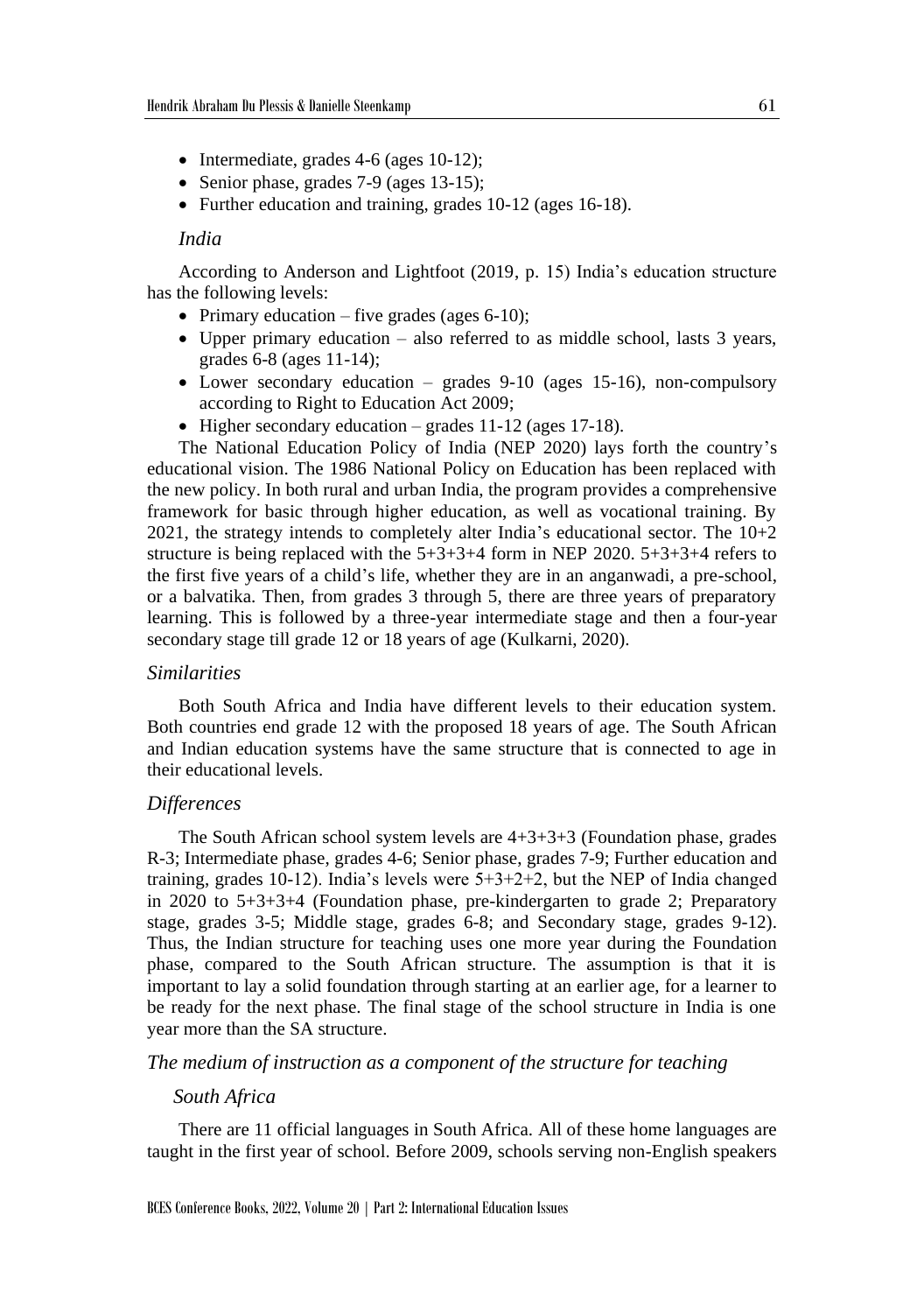- Intermediate, grades 4-6 (ages 10-12);
- Senior phase, grades 7-9 (ages 13-15);
- Further education and training, grades 10-12 (ages 16-18).

## *India*

According to Anderson and Lightfoot (2019, p. 15) India's education structure has the following levels:

- Primary education five grades (ages 6-10);
- Upper primary education also referred to as middle school, lasts 3 years, grades 6-8 (ages 11-14);
- Lower secondary education grades  $9-10$  (ages 15-16), non-compulsory according to Right to Education Act 2009;
- Higher secondary education grades 11-12 (ages 17-18).

The National Education Policy of India (NEP 2020) lays forth the country's educational vision. The 1986 National Policy on Education has been replaced with the new policy. In both rural and urban India, the program provides a comprehensive framework for basic through higher education, as well as vocational training. By 2021, the strategy intends to completely alter India's educational sector. The 10+2 structure is being replaced with the  $5+3+3+4$  form in NEP 2020.  $5+3+3+4$  refers to the first five years of a child's life, whether they are in an anganwadi, a pre-school, or a balvatika. Then, from grades 3 through 5, there are three years of preparatory learning. This is followed by a three-year intermediate stage and then a four-year secondary stage till grade 12 or 18 years of age (Kulkarni, 2020).

## *Similarities*

Both South Africa and India have different levels to their education system. Both countries end grade 12 with the proposed 18 years of age. The South African and Indian education systems have the same structure that is connected to age in their educational levels.

## *Differences*

The South African school system levels are  $4+3+3+3$  (Foundation phase, grades R-3; Intermediate phase, grades 4-6; Senior phase, grades 7-9; Further education and training, grades 10-12). India's levels were 5+3+2+2, but the NEP of India changed in 2020 to 5+3+3+4 (Foundation phase, pre-kindergarten to grade 2; Preparatory stage, grades 3-5; Middle stage, grades 6-8; and Secondary stage, grades 9-12). Thus, the Indian structure for teaching uses one more year during the Foundation phase, compared to the South African structure. The assumption is that it is important to lay a solid foundation through starting at an earlier age, for a learner to be ready for the next phase. The final stage of the school structure in India is one year more than the SA structure.

*The medium of instruction as a component of the structure for teaching*

## *South Africa*

There are 11 official languages in South Africa. All of these home languages are taught in the first year of school. Before 2009, schools serving non-English speakers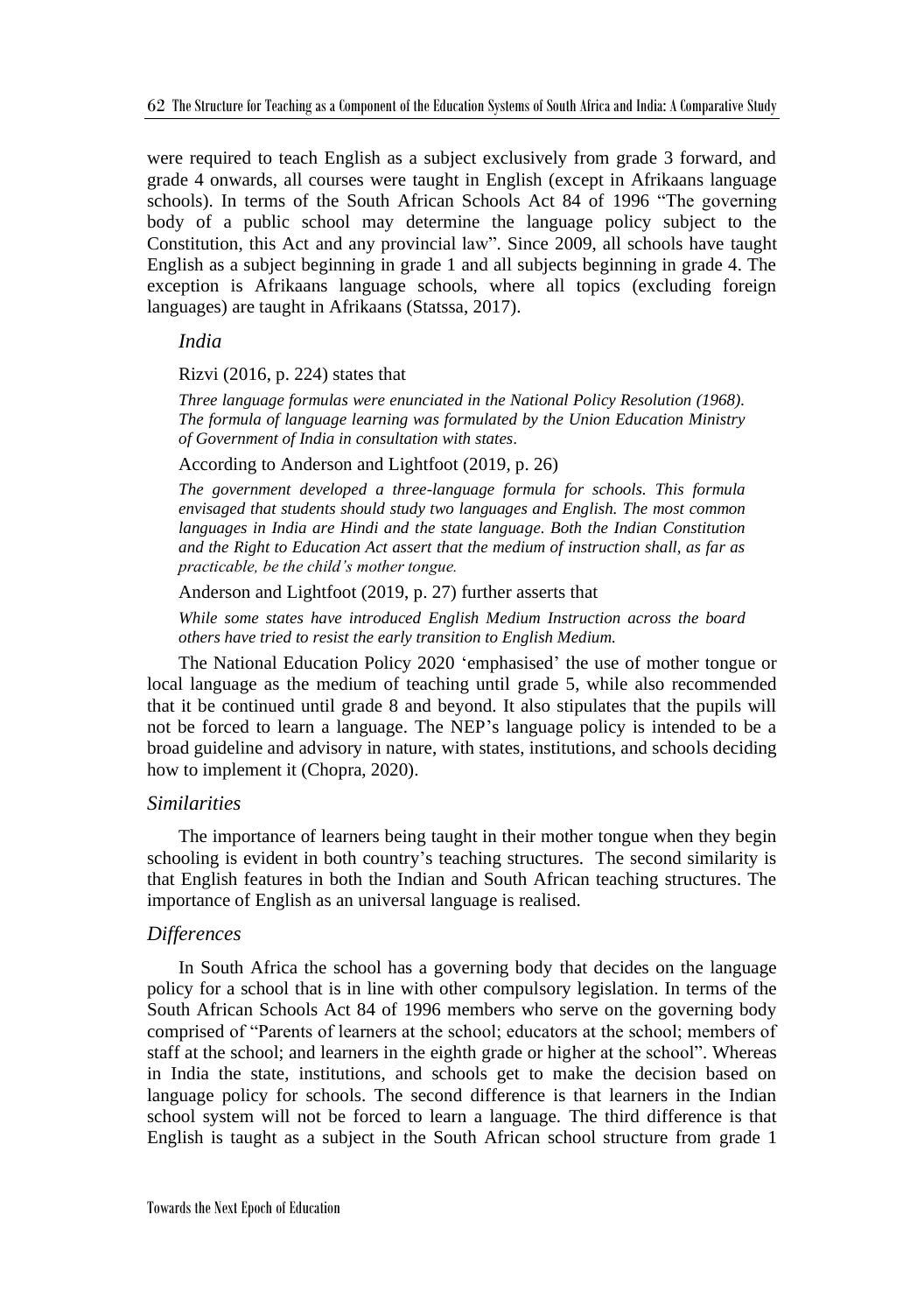were required to teach English as a subject exclusively from grade 3 forward, and grade 4 onwards, all courses were taught in English (except in Afrikaans language schools). In terms of the South African Schools Act 84 of 1996 "The governing body of a public school may determine the language policy subject to the Constitution, this Act and any provincial law". Since 2009, all schools have taught English as a subject beginning in grade 1 and all subjects beginning in grade 4. The exception is Afrikaans language schools, where all topics (excluding foreign languages) are taught in Afrikaans (Statssa, 2017).

*India*

Rizvi (2016, p. 224) states that

*Three language formulas were enunciated in the National Policy Resolution (1968). The formula of language learning was formulated by the Union Education Ministry of Government of India in consultation with states.*

According to Anderson and Lightfoot (2019, p. 26)

*The government developed a three-language formula for schools. This formula envisaged that students should study two languages and English. The most common languages in India are Hindi and the state language. Both the Indian Constitution and the Right to Education Act assert that the medium of instruction shall, as far as practicable, be the child's mother tongue.* 

Anderson and Lightfoot (2019, p. 27) further asserts that

*While some states have introduced English Medium Instruction across the board others have tried to resist the early transition to English Medium.*

The National Education Policy 2020 'emphasised' the use of mother tongue or local language as the medium of teaching until grade 5, while also recommended that it be continued until grade 8 and beyond. It also stipulates that the pupils will not be forced to learn a language. The NEP's language policy is intended to be a broad guideline and advisory in nature, with states, institutions, and schools deciding how to implement it (Chopra, 2020).

## *Similarities*

The importance of learners being taught in their mother tongue when they begin schooling is evident in both country's teaching structures. The second similarity is that English features in both the Indian and South African teaching structures. The importance of English as an universal language is realised.

## *Differences*

In South Africa the school has a governing body that decides on the language policy for a school that is in line with other compulsory legislation. In terms of the South African Schools Act 84 of 1996 members who serve on the governing body comprised of "Parents of learners at the school; educators at the school; members of staff at the school; and learners in the eighth grade or higher at the school". Whereas in India the state, institutions, and schools get to make the decision based on language policy for schools. The second difference is that learners in the Indian school system will not be forced to learn a language. The third difference is that English is taught as a subject in the South African school structure from grade 1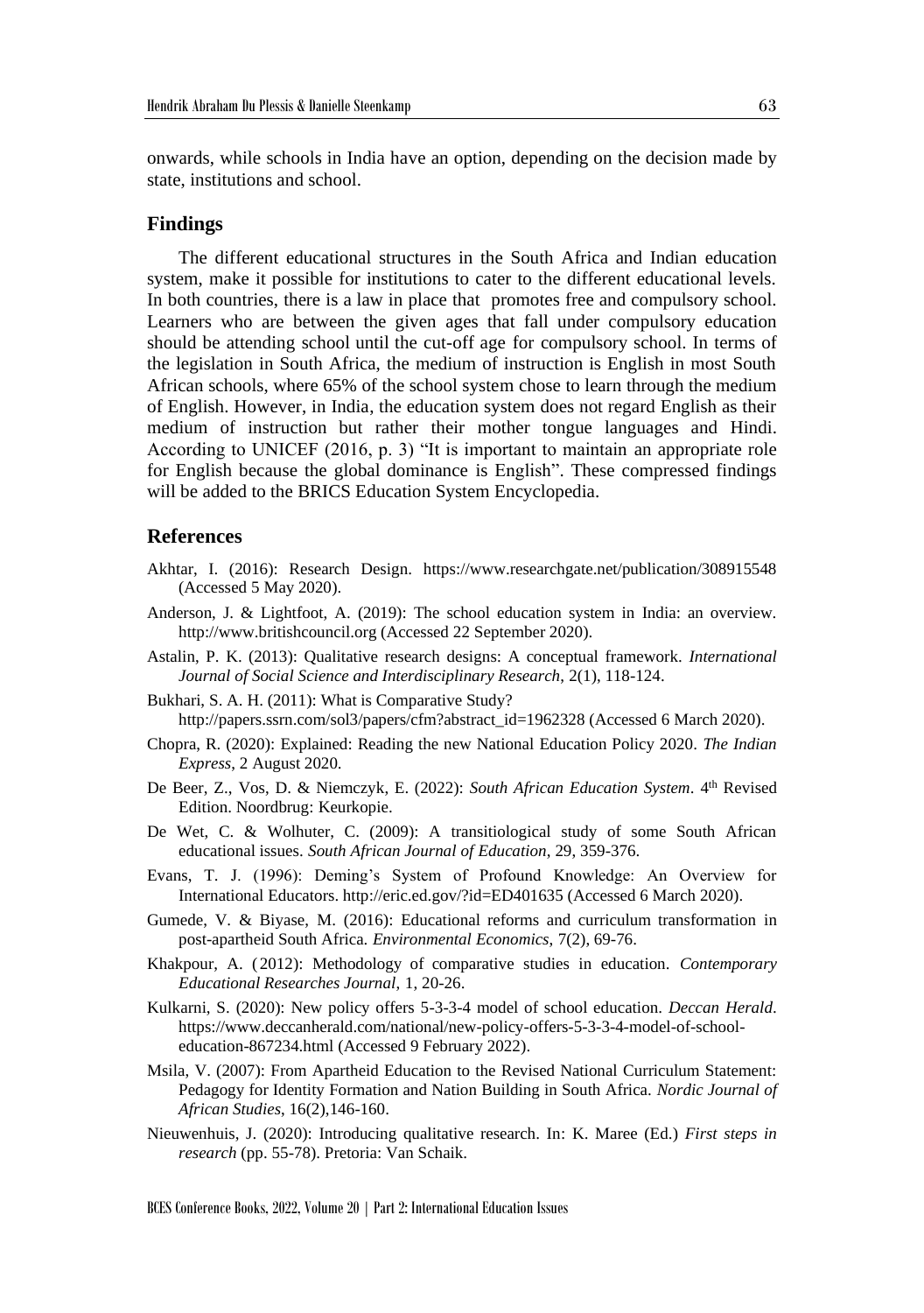onwards, while schools in India have an option, depending on the decision made by state, institutions and school.

## **Findings**

The different educational structures in the South Africa and Indian education system, make it possible for institutions to cater to the different educational levels. In both countries, there is a law in place that promotes free and compulsory school. Learners who are between the given ages that fall under compulsory education should be attending school until the cut-off age for compulsory school. In terms of the legislation in South Africa, the medium of instruction is English in most South African schools, where 65% of the school system chose to learn through the medium of English. However, in India, the education system does not regard English as their medium of instruction but rather their mother tongue languages and Hindi. According to UNICEF (2016, p. 3) "It is important to maintain an appropriate role for English because the global dominance is English". These compressed findings will be added to the BRICS Education System Encyclopedia.

## **References**

- Akhtar, I. (2016): Research Design. https://www.researchgate.net/publication/308915548 (Accessed 5 May 2020).
- Anderson, J. & Lightfoot, A. (2019): The school education system in India: an overview. http://www.britishcouncil.org (Accessed 22 September 2020).
- Astalin, P. K. (2013): Qualitative research designs: A conceptual framework. *International Journal of Social Science and Interdisciplinary Research*, 2(1), 118-124.
- Bukhari, S. A. H. (2011): What is Comparative Study? http://papers.ssrn.com/sol3/papers/cfm?abstract\_id=1962328 (Accessed 6 March 2020).
- Chopra, R. (2020): Explained: Reading the new National Education Policy 2020. *The Indian Express*, 2 August 2020.
- De Beer, Z., Vos, D. & Niemczyk, E. (2022): South African Education System. 4<sup>th</sup> Revised Edition. Noordbrug: Keurkopie.
- De Wet, C. & Wolhuter, C. (2009): A transitiological study of some South African educational issues. *South African Journal of Education*, 29, 359-376.
- Evans, T. J. (1996): Deming's System of Profound Knowledge: An Overview for International Educators. http://eric.ed.gov/?id=ED401635 (Accessed 6 March 2020).
- Gumede, V. & Biyase, M. (2016): Educational reforms and curriculum transformation in post-apartheid South Africa. *Environmental Economics*, 7(2), 69-76.
- Khakpour, A. (2012): Methodology of comparative studies in education. *Contemporary Educational Researches Journal*, 1, 20-26.
- Kulkarni, S. (2020): New policy offers 5-3-3-4 model of school education. *Deccan Herald*. https://www.deccanherald.com/national/new-policy-offers-5-3-3-4-model-of-schooleducation-867234.html (Accessed 9 February 2022).
- Msila, V. (2007): From Apartheid Education to the Revised National Curriculum Statement: Pedagogy for Identity Formation and Nation Building in South Africa. *Nordic Journal of African Studies*, 16(2),146-160.
- Nieuwenhuis, J. (2020): Introducing qualitative research. In: K. Maree (Ed.) *First steps in research* (pp. 55-78). Pretoria: Van Schaik.

BCES Conference Books, 2022, Volume 20 | Part 2: International Education Issues